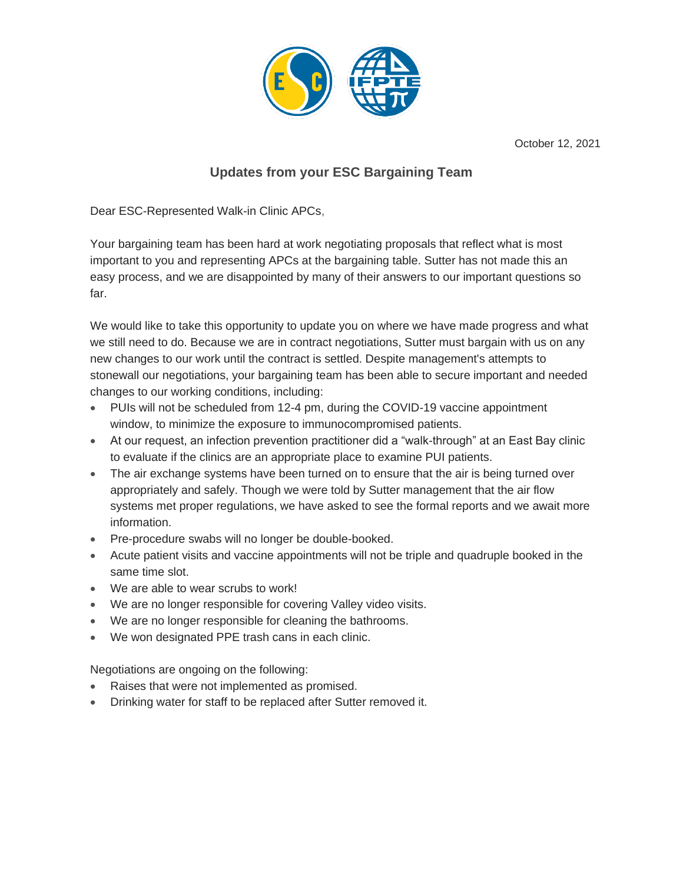

October 12, 2021

## **Updates from your ESC Bargaining Team**

Dear ESC-Represented Walk-in Clinic APCs,

Your bargaining team has been hard at work negotiating proposals that reflect what is most important to you and representing APCs at the bargaining table. Sutter has not made this an easy process, and we are disappointed by many of their answers to our important questions so far.

We would like to take this opportunity to update you on where we have made progress and what we still need to do. Because we are in contract negotiations, Sutter must bargain with us on any new changes to our work until the contract is settled. Despite management's attempts to stonewall our negotiations, your bargaining team has been able to secure important and needed changes to our working conditions, including:

- PUIs will not be scheduled from 12-4 pm, during the COVID-19 vaccine appointment window, to minimize the exposure to immunocompromised patients.
- At our request, an infection prevention practitioner did a "walk-through" at an East Bay clinic to evaluate if the clinics are an appropriate place to examine PUI patients.
- The air exchange systems have been turned on to ensure that the air is being turned over appropriately and safely. Though we were told by Sutter management that the air flow systems met proper regulations, we have asked to see the formal reports and we await more information.
- Pre-procedure swabs will no longer be double-booked.
- Acute patient visits and vaccine appointments will not be triple and quadruple booked in the same time slot.
- We are able to wear scrubs to work!
- We are no longer responsible for covering Valley video visits.
- We are no longer responsible for cleaning the bathrooms.
- We won designated PPE trash cans in each clinic.

Negotiations are ongoing on the following:

- Raises that were not implemented as promised.
- Drinking water for staff to be replaced after Sutter removed it.